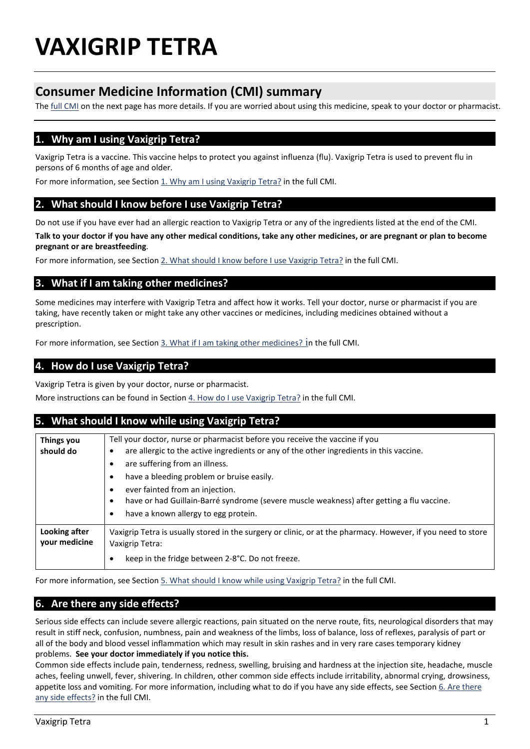# **VAXIGRIP TETRA**

## **Consumer Medicine Information (CMI) summary**

The [full CMI](#page-1-0) on the next page has more details. If you are worried about using this medicine, speak to your doctor or pharmacist.

## <span id="page-0-0"></span>**1. Why am I using Vaxigrip Tetra?**

Vaxigrip Tetra is a vaccine. This vaccine helps to protect you against influenza (flu). Vaxigrip Tetra is used to prevent flu in persons of 6 months of age and older.

For more information, see Section 1. Why am I using Vaxigrip Tetra? in the full CMI.

#### <span id="page-0-1"></span>**2. What should I know before I use Vaxigrip Tetra?**

Do not use if you have ever had an allergic reaction to Vaxigrip Tetra or any of the ingredients listed at the end of the CMI.

**Talk to your doctor if you have any other medical conditions, take any other medicines, or are pregnant or plan to become pregnant or are breastfeeding**.

For more information, see Sectio[n 2. What should I know before I use Vaxigrip Tetra?](#page-1-1) in the full CMI.

#### <span id="page-0-2"></span>**3. What if I am taking other medicines?**

Some medicines may interfere with Vaxigrip Tetra and affect how it works. Tell your doctor, nurse or pharmacist if you are taking, have recently taken or might take any other vaccines or medicines, including medicines obtained without a prescription.

For more information, see Section [3. What if I am taking other medicines?](#page-1-2) in the full CMI.

## <span id="page-0-3"></span>**4. How do I use Vaxigrip Tetra?**

Vaxigrip Tetra is given by your doctor, nurse or pharmacist.

More instructions can be found in Section 4. How do I use Vaxigrip Tetra? in the full CMI.

#### <span id="page-0-4"></span>**5. What should I know while using Vaxigrip Tetra? Things you should do** Tell your doctor, nurse or pharmacist before you receive the vaccine if you • are allergic to the active ingredients or any of the other ingredients in this vaccine. • are suffering from an illness. have a bleeding problem or bruise easily. ever fainted from an injection. • have or had Guillain-Barré syndrome (severe muscle weakness) after getting a flu vaccine. have a known allergy to egg protein. **Looking after your medicine** Vaxigrip Tetra is usually stored in the surgery or clinic, or at the pharmacy. However, if you need to store Vaxigrip Tetra: keep in the fridge between 2-8°C. Do not freeze.

For more information, see Section [5. What should I know while using Vaxigrip Tetra?](#page-2-0) in the full CMI.

## <span id="page-0-5"></span>**6. Are there any side effects?**

Serious side effects can include severe allergic reactions, pain situated on the nerve route, fits, neurological disorders that may result in stiff neck, confusion, numbness, pain and weakness of the limbs, loss of balance, loss of reflexes, paralysis of part or all of the body and blood vessel inflammation which may result in skin rashes and in very rare cases temporary kidney problems. **See your doctor immediately if you notice this.**

Common side effects include pain, tenderness, redness, swelling, bruising and hardness at the injection site, headache, muscle aches, feeling unwell, fever, shivering. In children, other common side effects include irritability, abnormal crying, drowsiness, appetite loss and vomiting. For more information, including what to do if you have any side effects, see Section 6. Are there [any side effects?](#page-2-1) in the full CMI.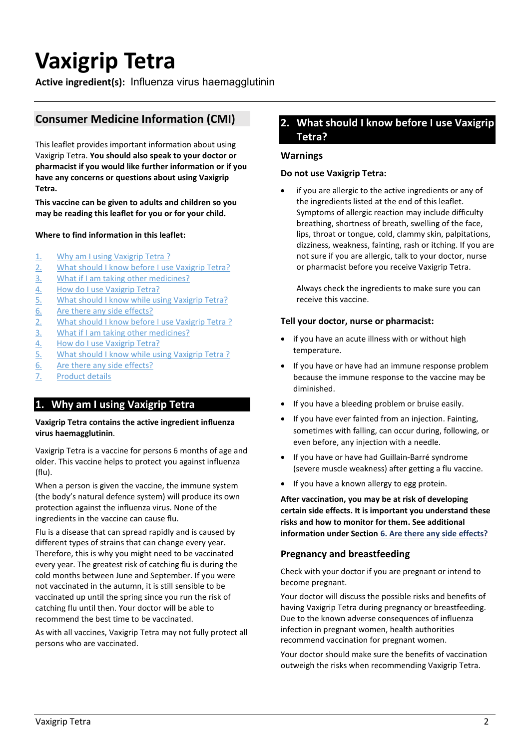# <span id="page-1-2"></span><span id="page-1-0"></span>**Vaxigrip Tetra**

**Active ingredient(s):** Influenza virus haemagglutinin

## **Consumer Medicine Information (CMI)**

This leaflet provides important information about using Vaxigrip Tetra. **You should also speak to your doctor or pharmacist if you would like further information or if you have any concerns or questions about using Vaxigrip Tetra.**

**This vaccine can be given to adults and children so you may be reading this leaflet for you or for your child.**

#### **Where to find information in this leaflet:**

- 1. [Why am I using Vaxigrip Tetra](#page-0-0) ?
- 2. [What should I know before I use Vaxigrip Tetra?](#page-0-1)
- 3. [What if I am taking other medicines?](#page-0-2)
- 4. [How do I use Vaxigrip Tetra?](#page-0-3)
- 5. [What should I know while using Vaxigrip Tetra?](#page-0-4)
- 6. [Are there any side effects?](#page-0-5)
- 2. [What should I know before I use Vaxigrip Tetra](#page-1-1) ?
- 3. [What if I am taking other medicines?](#page-1-2)
- 4. [How do I use Vaxigrip Tetra?](#page-2-2)
- 5. [What should I know while using Vaxigrip Tetra](#page-2-0) ?
- 6. [Are there any side effects?](#page-2-3)
- 7. [Product details](#page-3-0)

## **1. Why am I using Vaxigrip Tetra**

#### **Vaxigrip Tetra contains the active ingredient influenza virus haemagglutinin**.

Vaxigrip Tetra is a vaccine for persons 6 months of age and older. This vaccine helps to protect you against influenza (flu).

When a person is given the vaccine, the immune system (the body's natural defence system) will produce its own protection against the influenza virus. None of the ingredients in the vaccine can cause flu.

Flu is a disease that can spread rapidly and is caused by different types of strains that can change every year. Therefore, this is why you might need to be vaccinated every year. The greatest risk of catching flu is during the cold months between June and September. If you were not vaccinated in the autumn, it is still sensible to be vaccinated up until the spring since you run the risk of catching flu until then. Your doctor will be able to recommend the best time to be vaccinated.

As with all vaccines, Vaxigrip Tetra may not fully protect all persons who are vaccinated.

## <span id="page-1-1"></span>**2. What should I know before I use Vaxigrip Tetra?**

#### **Warnings**

#### **Do not use Vaxigrip Tetra:**

if you are allergic to the active ingredients or any of the ingredients listed at the end of this leaflet. Symptoms of allergic reaction may include difficulty breathing, shortness of breath, swelling of the face, lips, throat or tongue, cold, clammy skin, palpitations, dizziness, weakness, fainting, rash or itching. If you are not sure if you are allergic, talk to your doctor, nurse or pharmacist before you receive Vaxigrip Tetra.

Always check the ingredients to make sure you can receive this vaccine.

#### **Tell your doctor, nurse or pharmacist:**

- if you have an acute illness with or without high temperature.
- If you have or have had an immune response problem because the immune response to the vaccine may be diminished.
- If you have a bleeding problem or bruise easily.
- If you have ever fainted from an injection. Fainting, sometimes with falling, can occur during, following, or even before, any injection with a needle.
- If you have or have had Guillain-Barré syndrome (severe muscle weakness) after getting a flu vaccine.
- If you have a known allergy to egg protein.

**After vaccination, you may be at risk of developing certain side effects. It is important you understand these risks and how to monitor for them. See additional information under Section [6. Are there any side effects?](#page-2-1)**

#### **Pregnancy and breastfeeding**

Check with your doctor if you are pregnant or intend to become pregnant.

Your doctor will discuss the possible risks and benefits of having Vaxigrip Tetra during pregnancy or breastfeeding. Due to the known adverse consequences of influenza infection in pregnant women, health authorities recommend vaccination for pregnant women.

Your doctor should make sure the benefits of vaccination outweigh the risks when recommending Vaxigrip Tetra.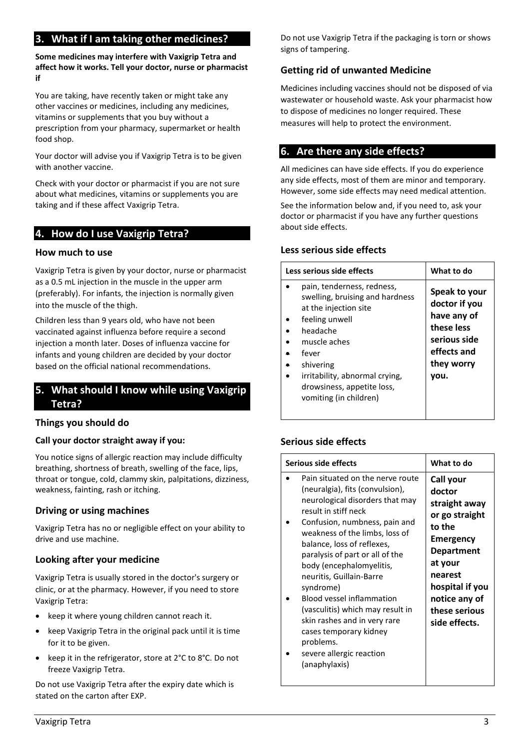## **3. What if I am taking other medicines?**

**Some medicines may interfere with Vaxigrip Tetra and affect how it works. Tell your doctor, nurse or pharmacist if** 

You are taking, have recently taken or might take any other vaccines or medicines, including any medicines, vitamins or supplements that you buy without a prescription from your pharmacy, supermarket or health food shop.

Your doctor will advise you if Vaxigrip Tetra is to be given with another vaccine.

Check with your doctor or pharmacist if you are not sure about what medicines, vitamins or supplements you are taking and if these affect Vaxigrip Tetra.

## <span id="page-2-2"></span>**4. How do I use Vaxigrip Tetra?**

#### **How much to use**

Vaxigrip Tetra is given by your doctor, nurse or pharmacist as a 0.5 mL injection in the muscle in the upper arm (preferably). For infants, the injection is normally given into the muscle of the thigh.

Children less than 9 years old, who have not been vaccinated against influenza before require a second injection a month later. Doses of influenza vaccine for infants and young children are decided by your doctor based on the official national recommendations.

## <span id="page-2-0"></span>**5. What should I know while using Vaxigrip Tetra?**

#### **Things you should do**

#### **Call your doctor straight away if you:**

You notice signs of allergic reaction may include difficulty breathing, shortness of breath, swelling of the face, lips, throat or tongue, cold, clammy skin, palpitations, dizziness, weakness, fainting, rash or itching.

#### **Driving or using machines**

Vaxigrip Tetra has no or negligible effect on your ability to drive and use machine.

#### **Looking after your medicine**

Vaxigrip Tetra is usually stored in the doctor's surgery or clinic, or at the pharmacy. However, if you need to store Vaxigrip Tetra:

- keep it where young children cannot reach it.
- keep Vaxigrip Tetra in the original pack until it is time for it to be given.
- keep it in the refrigerator, store at 2°C to 8°C. Do not freeze Vaxigrip Tetra.

Do not use Vaxigrip Tetra after the expiry date which is stated on the carton after EXP.

Do not use Vaxigrip Tetra if the packaging is torn or shows signs of tampering.

#### **Getting rid of unwanted Medicine**

<span id="page-2-1"></span>Medicines including vaccines should not be disposed of via wastewater or household waste. Ask your pharmacist how to dispose of medicines no longer required. These measures will help to protect the environment.

## <span id="page-2-3"></span>**6. Are there any side effects?**

All medicines can have side effects. If you do experience any side effects, most of them are minor and temporary. However, some side effects may need medical attention.

See the information below and, if you need to, ask your doctor or pharmacist if you have any further questions about side effects.

#### **Less serious side effects**

| Less serious side effects                                                                                                                                                                                                                            | What to do                                                                                                       |
|------------------------------------------------------------------------------------------------------------------------------------------------------------------------------------------------------------------------------------------------------|------------------------------------------------------------------------------------------------------------------|
| pain, tenderness, redness,<br>swelling, bruising and hardness<br>at the injection site<br>feeling unwell<br>headache<br>muscle aches<br>fever<br>shivering<br>irritability, abnormal crying,<br>drowsiness, appetite loss,<br>vomiting (in children) | Speak to your<br>doctor if you<br>have any of<br>these less<br>serious side<br>effects and<br>they worry<br>vou. |

## **Serious side effects**

| Serious side effects                                                                                                                                                                                                                                                                                                                                                                                                                                                                                                                | What to do                                                                                                                                                                                     |
|-------------------------------------------------------------------------------------------------------------------------------------------------------------------------------------------------------------------------------------------------------------------------------------------------------------------------------------------------------------------------------------------------------------------------------------------------------------------------------------------------------------------------------------|------------------------------------------------------------------------------------------------------------------------------------------------------------------------------------------------|
| Pain situated on the nerve route<br>(neuralgia), fits (convulsion),<br>neurological disorders that may<br>result in stiff neck<br>Confusion, numbness, pain and<br>weakness of the limbs, loss of<br>balance, loss of reflexes,<br>paralysis of part or all of the<br>body (encephalomyelitis,<br>neuritis, Guillain-Barre<br>syndrome)<br><b>Blood vessel inflammation</b><br>(vasculitis) which may result in<br>skin rashes and in very rare<br>cases temporary kidney<br>problems.<br>severe allergic reaction<br>(anaphylaxis) | Call your<br>doctor<br>straight away<br>or go straight<br>to the<br>Emergency<br><b>Department</b><br>at your<br>nearest<br>hospital if you<br>notice any of<br>these serious<br>side effects. |